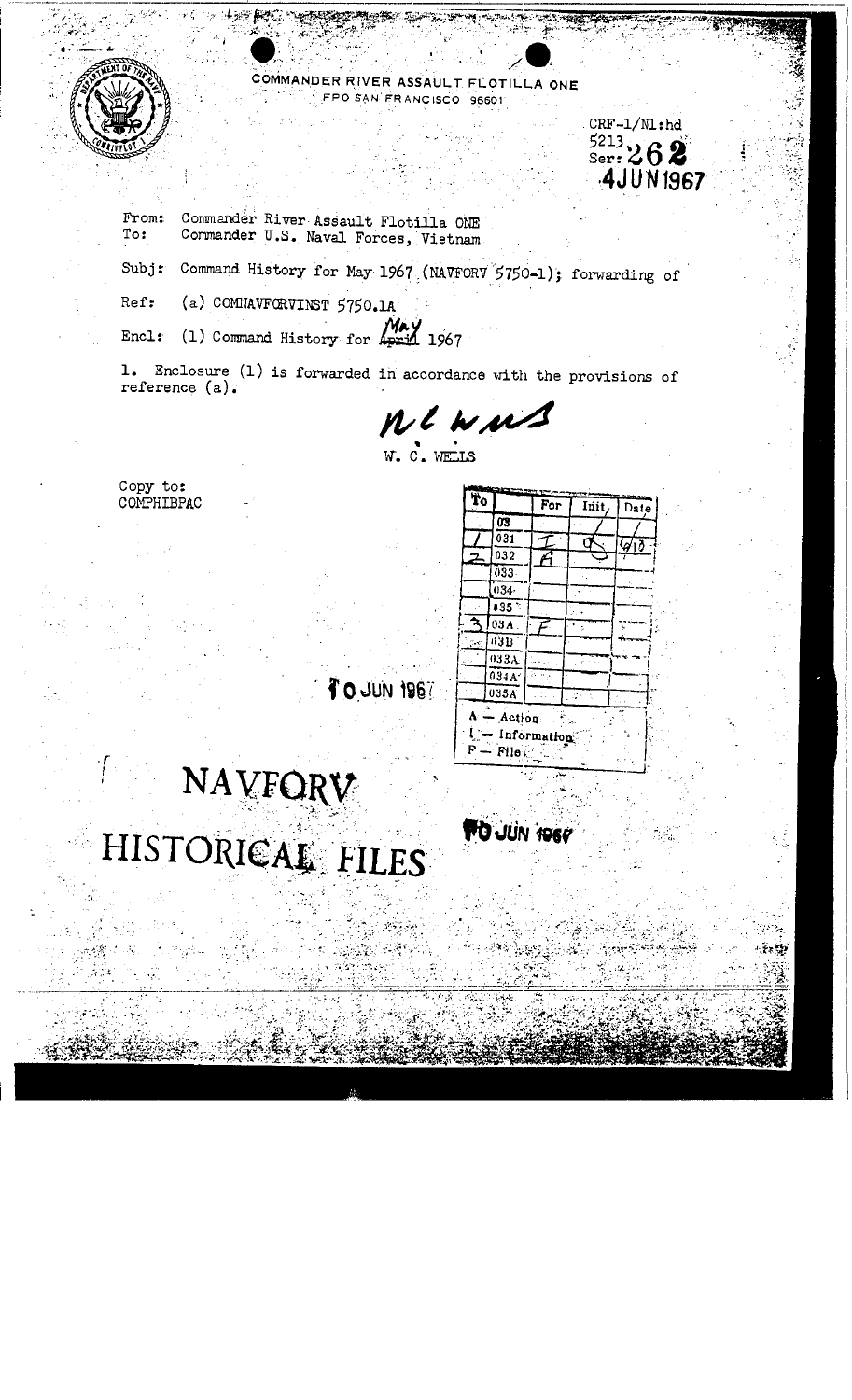

COMMANDER RIVER ASSAULT FLOTILLA ONE O SAN FRANCISCO 96601

Commander River Assault Flotilla ONE From: Commander U.S. Naval Forces, Vietnam To:

Subj: Command History for May 1967 (NAVFORV 5750-1); forwarding of

(a) COMMAVFORVINST 5750.1A Ref:

(1) Command History for  $May$  1967  $Enc1:$ 

1. Enclosure (1) is forwarded in accordance with the provisions of reference  $(a)$ .

ne wus

Copy to: COMPHIBPAC

| Ťo |                            |             |       |            |
|----|----------------------------|-------------|-------|------------|
|    |                            | For         | Init. | Date       |
|    | 03                         |             |       |            |
|    | 031                        |             |       | $\sqrt{d}$ |
| 2  | 032                        |             |       |            |
|    | 033.                       |             |       |            |
|    | 034-                       |             |       |            |
|    | 135.5                      |             |       |            |
|    | 03A                        | F.          |       | ۰.         |
| 7€ | 03B                        |             |       |            |
|    | 033A                       |             |       |            |
|    | 034A                       |             |       |            |
|    | 035A                       |             |       |            |
| F  | $-Act($ on<br>$P$ le $\in$ | Information |       |            |

**TO JUN 1960** 

 $CRF-1/M:h$  $5213$ <br>Ser:  $262$ 

**4JUN1967** 

1981 NUL 0 7

## NAVFORV HISTORICAL FILES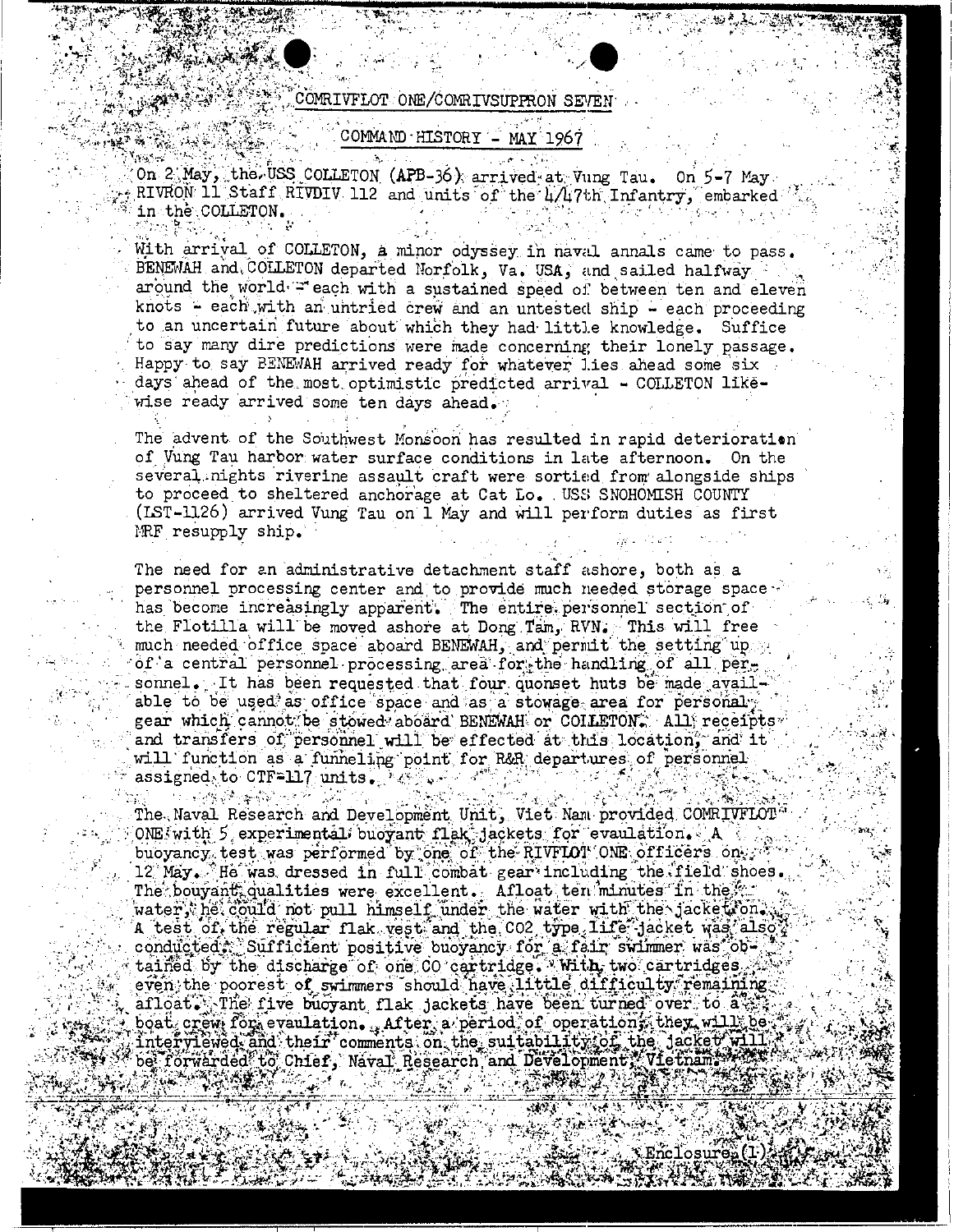## COMRIVFLOT ONE/COMRIVSUPPRON SEVEN

 $\hat{\mathcal{L}}_{\text{max}}$  and

AN TA

海兰 增产量法

A REAL

Andrew.

## COMMAND HISTORY - MAY 1967

On 2 May, the USS COLLETON (APB-36) arrived at Vung Tau. On 5-7 May. RIVRON 11 Staff RIVDIV 112 and units of the 4/47th Infantry, embarked in the COLLETON.

With arrival of COLLETON, a minor odyssey in naval annals came to pass. BENEWAH and COLLETON departed Norfolk, Va. USA, and sailed halfway around the world = each with a sustained speed of between ten and eleven knots - each with an untried crew and an untested ship - each proceeding to an uncertain future about which they had little knowledge. Suffice to say many dire predictions were made concerning their lonely passage. Happy to say BENEWAH arrived ready for whatever lies ahead some six days ahead of the most optimistic predicted arrival - COLLETON likewise ready arrived some ten days ahead.

The advent of the Southwest Monsoon has resulted in rapid deterioration of Vung Tau harbor water surface conditions in late afternoon. On the several nights riverine assault craft were sortied from alongside ships to proceed to sheltered anchorage at Cat Lo. USS SNOHOMISH COUNTY (IST-1126) arrived Vung Tau on 1 May and will perform duties as first MRF resupply ship.

The need for an administrative detachment staff ashore, both as a personnel processing center and to provide much needed storage space has become increasingly apparent. The entire personnel section of the Flotilla will be moved ashore at Dong Tam, RVN. This will free much needed office space aboard BENEWAH, and permit the setting up of a central personnel processing area for the handling of all personnel. It has been requested that four quonset huts be made available to be used as office space and as a stowage area for personaly gear which cannot be stowed aboard BENEWAH or COILETON. All receipts and transfers of personnel will be effected at this location, and it will function as a funneling point for R&R departures of personnel assigned to CTF=117 units. May be a

**The Search Search Content of the Search Search** The Naval Research and Development Unit, Viet Nam provided CONRIVFLOT  $\overline{OME}$ , with  $5$  experimental, buoyant flak, jackets for evaulation. A  $\overline{A}$ buoyancy test was performed by one of the RIVFLOT ONE officers only 12 May. He was dressed in full combat gear including the field shoes. The bouyant qualities were excellent. Afloat ten minutes in the ... water, he could not pull himself under the water with the jacket on. A test of the regular flak vest and the CO2 type life jacket was also conducted: Sufficient positive buoyancy for a fair swimmer was obtained by the discharge of one CO cartridge. With two cartridges even the poorest of swimmers should have little difficulty remaining afloat. The five buoyant flak jackets have been turned over to a.s. boat crew for evaulation. After a period of operations they will be  ${\tt interyilewed, and\ their}$  comments on the suitability of the jacket will be forwarded to Chief, Naval Research and Development, Vietnam, 2008 35 - 13 52 Y ం వారు చూస్తున్నారు.<br>ప్రాంతం వారు వారు వారు వారు. 2. 不要要做的 2. 2.

**XEnclosuren (1)**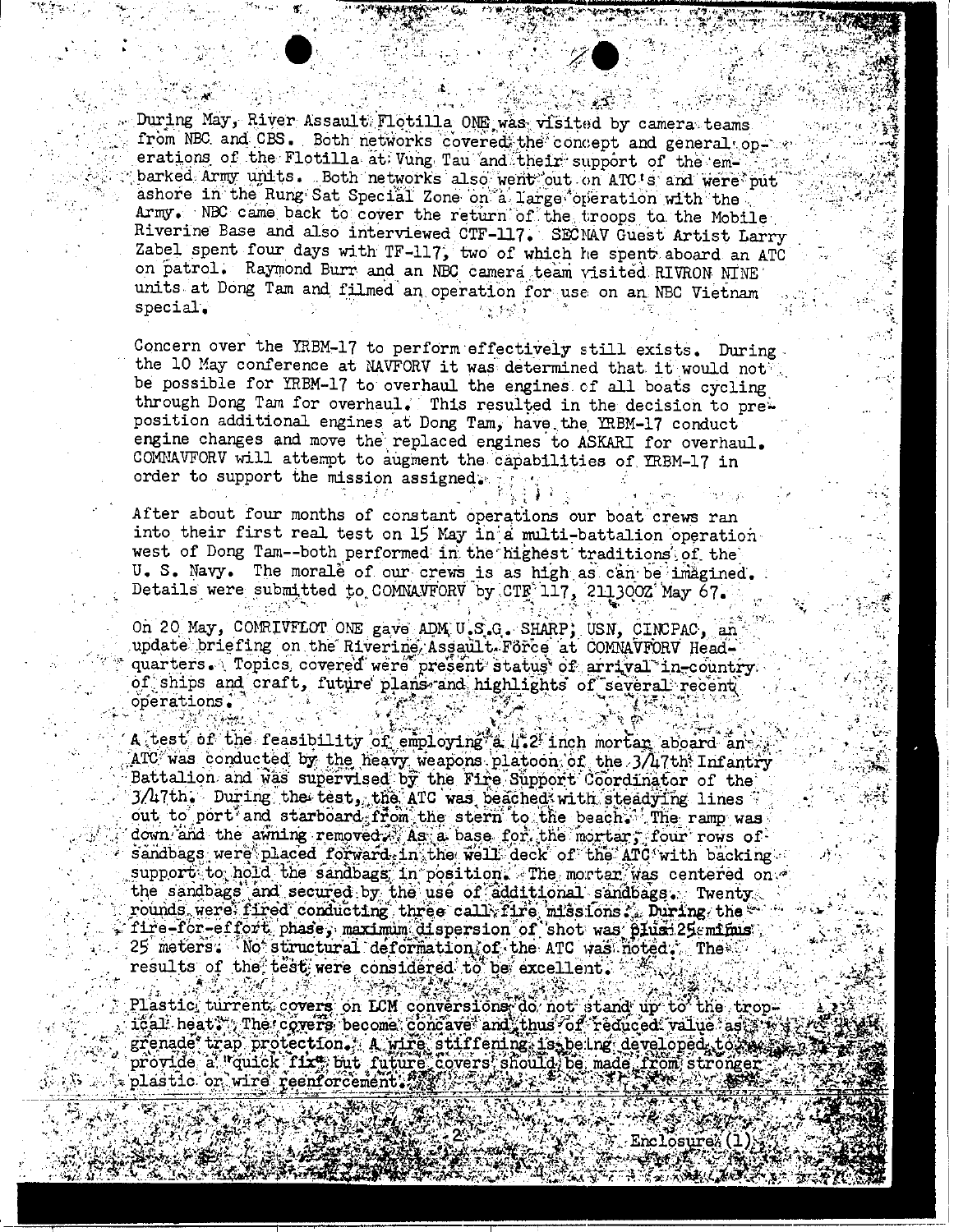During May, River Assault Flotilla ONE was visited by camera teams from NBC and CBS. Both networks covered the concept and general operations of the Flotilla at Vung Tau and their support of the embarked Army units. Both networks also went out on ATC's and were put ashore in the Rung Sat Special Zone on a large operation with the Army. NBC came back to cover the return of the troops to the Mobile Riverine Base and also interviewed CTF-117. SECNAV Guest Artist Larry Zabel spent four days with TF-117, two of which he spent aboard an ATC on patrol. Raymond Burr and an NBC camera team visited RIVRON NINE units at Dong Tam and filmed an operation for use on an NBC Vietnam special.

Concern over the YRBM-17 to perform effectively still exists. During the 10 May conference at NAVFORV it was determined that it would not be possible for YRBM-17 to overhaul the engines of all boats cycling through Dong Tam for overhaul. This resulted in the decision to preposition additional engines at Dong Tam, have the YRBM-17 conduct engine changes and move the replaced engines to ASKARI for overhaul. COMNAVFORV will attempt to augment the capabilities of YRBM-17 in order to support the mission assigned.

After about four months of constant operations our boat crews ran into their first real test on 15 May in a multi-battalion operation west of Dong Tam-both performed in the highest traditions of the U. S. Navy. The morale of our crews is as high as can be imagined. Details were submitted to COMNAVFORV by CTE 117, 2113002 May 67.

On 20 May, COMRIVFLOT ONE gave ADM U.S.G. SHARP; USN, CINCPAC, an update priefing on the Riverine Assault. Force at COMNAVFORV Headquarters. Topics covered were present status of arrival in-country of ships and craft, future plans and highlights of several recent operations.

A test of the feasibility of employing a 4.2 inch mortan aboard and  $\rm ATC$  was conducted by the heavy weapons platoon of the 3/47th Infantry Battalion and was supervised by the Fire Support Coordinator of the 3/47th. During the test, the ATC was begched with steadying lines. out to port and starboard from the stern to the beach. The ramp was down and the awning removed. As a base for the mortar, four rows of sandbags were placed forward in the well deck of the ATC with backing support to hold the sandbags in position. The mortan was centered on the sandbags and secured by the use of additional sandbags. Twenty rounds were fired conducting three call: fire missions. During the analysis of the conducting the conducting of short plans. 25 meters: No structural deformation of the ATC was noted. The results of the test were considered to be excellent.

Plastic turnent covers on LCM conversions do not stand up to the tropical heat. The covers become concave and thus of reduced value as w grenade trap protection. A wire stiffening is being developed to wave grenaus werk in in Flixe but future covers should be made from stronger  $32.32.8$